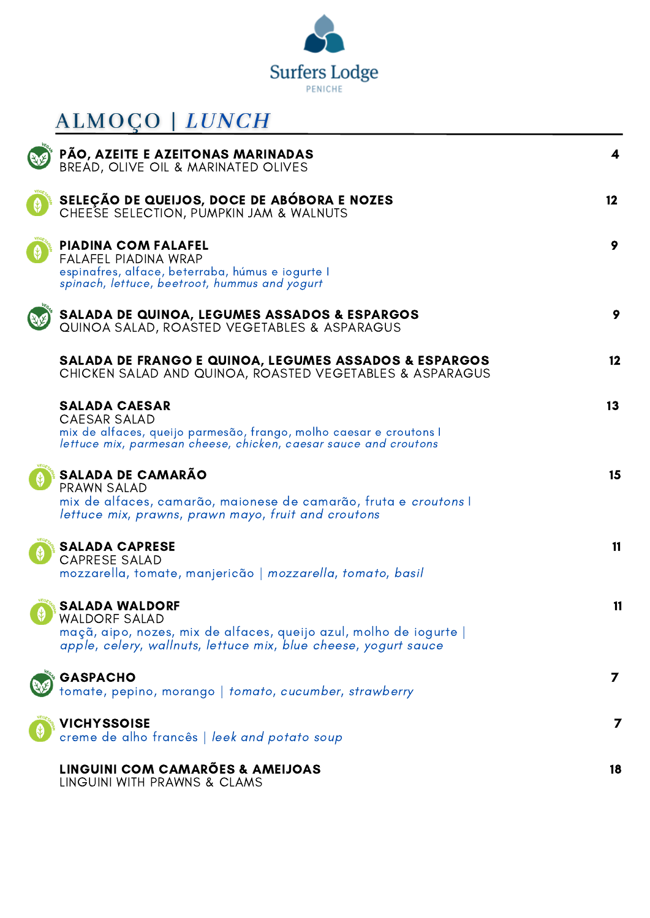

## ALMOÇO | LUNCH

| PÃO, AZEITE E AZEITONAS MARINADAS<br>BREAD, OLIVE OIL & MARINATED OLIVES                                                                                                               | 4               |
|----------------------------------------------------------------------------------------------------------------------------------------------------------------------------------------|-----------------|
| SELEÇÃO DE QUEIJOS, DOCE DE ABÓBORA E NOZES<br>CHEESE SELECTION, PUMPKIN JAM & WALNUTS                                                                                                 | 12 <sup>2</sup> |
| <b>PIADINA COM FALAFEL</b><br>FALAFEL PIADINA WRAP<br>espinafres, alface, beterraba, húmus e iogurte l<br>spinach, lettuce, beetroot, hummus and yogurt                                | 9               |
| <b>SALADA DE QUINOA, LEGUMES ASSADOS &amp; ESPARGOS</b><br>QUINOA SALAD, ROASTED VEGETABLES & ASPARAGUS                                                                                | 9               |
| <b>SALADA DE FRANGO E QUINOA, LEGUMES ASSADOS &amp; ESPARGOS</b><br>CHICKEN SALAD AND QUINOA, ROASTED VEGETABLES & ASPARAGUS                                                           | 12              |
| <b>SALADA CAESAR</b><br><b>CAESAR SALAD</b><br>mix de alfaces, queijo parmesão, frango, molho caesar e croutons l<br>lettuce mix, parmesan cheese, chicken, caesar sauce and croutons  | 13              |
| <b>SALADA DE CAMARÃO</b><br>PRAWN SALAD<br>mix de alfaces, camarão, maionese de camarão, fruta e croutons l<br>lettuce mix, prawns, prawn mayo, fruit and croutons                     | 15              |
| <b>SALADA CAPRESE</b><br><b>CAPRESE SALAD</b><br>mozzarella, tomate, manjericão   <i>mozzarella</i> , <i>tomato</i> , <i>basil</i>                                                     | 11              |
| <b>SALADA WALDORF</b><br><b>WALDORF SALAD</b><br>maçã, aipo, nozes, mix de alfaces, queijo azul, molho de iogurte  <br>apple, celery, wallnuts, lettuce mix, blue cheese, yogurt sauce | 11              |
| <b>GASPACHO</b><br>tomate, pepino, morango   tomato, cucumber, strawberry                                                                                                              | $\mathbf{z}$    |
| <b>VICHYSSOISE</b><br>creme de alho francês   leek and potato soup                                                                                                                     | 7               |
| LINGUINI COM CAMARÕES & AMEIJOAS<br>LINGUINI WITH PRAWNS & CLAMS                                                                                                                       | 18              |